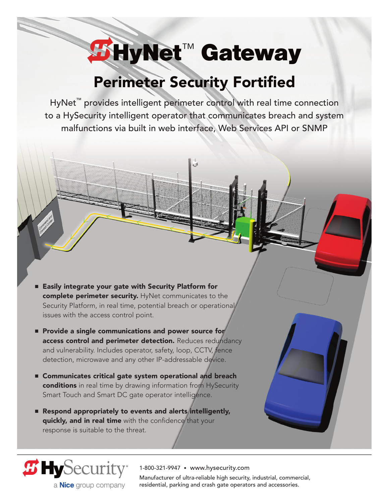# **HyNet**™ **Gateway**

## Perimeter Security Fortified

HyNet<sup>™</sup> provides intelligent perimeter control with real time connection to a HySecurity intelligent operator that communicates breach and system malfunctions via built in web interface, Web Services API or SNMP

- Easily integrate your gate with Security Platform for complete perimeter security. HyNet communicates to the Security Platform, in real time, potential breach or operational issues with the access control point.
- **Provide a single communications and power source for** access control and perimeter detection. Reduces redundancy and vulnerability. Includes operator, safety, loop, CCTV, fence detection, microwave and any other IP-addressable device.
- Communicates critical gate system operational and breach conditions in real time by drawing information from HySecurity Smart Touch and Smart DC gate operator intelligence.
- **Respond appropriately to events and alerts intelligently,** quickly, and in real time with the confidence that your response is suitable to the threat.

*B* HySecurity

a **Nice** group company

1-800-321-9947 • www.hysecurity.com

Manufacturer of ultra-reliable high security, industrial, commercial, residential, parking and crash gate operators and accessories.